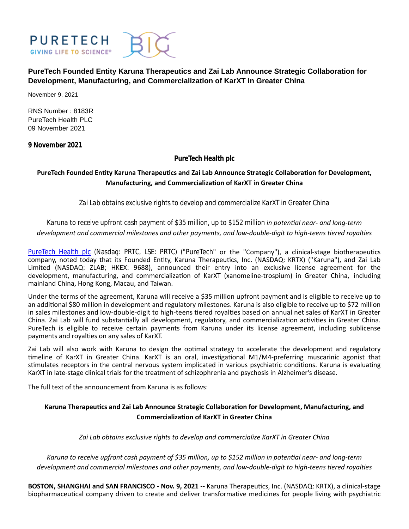

**PureTech Founded Entity Karuna Therapeutics and Zai Lab Announce Strategic Collaboration for Development, Manufacturing, and Commercialization of KarXT in Greater China**

November 9, 2021

RNS Number : 8183R PureTech Health PLC 09 November 2021

**9 November 2021**

**PureTech Health plc**

# PureTech Founded Entity Karuna Therapeutics and Zai Lab Announce Strategic Collaboration for Development, **Manufacturing, and Commercialization of KarXT in Greater China**

*Zai Lab obtains exclusive rights to develop and commercialize KarXT in Greater China*

*Karuna to receive upfront cash payment of \$35 million, up to \$152 million in potenƟal near- and long-term* development and commercial milestones and other payments, and low-double-digit to high-teens tiered royalties

[PureTech Health plc](https://puretechhealth.com/) (Nasdaq: PRTC, LSE: PRTC) ("PureTech" or the "Company"), a clinical-stage biotherapeutics company, noted today that its Founded Entity, Karuna Therapeutics, Inc. (NASDAQ: KRTX) ("Karuna"), and Zai Lab Limited (NASDAQ: ZLAB; HKEX: 9688), announced their entry into an exclusive license agreement for the development, manufacturing, and commercialization of KarXT (xanomeline-trospium) in Greater China, including mainland China, Hong Kong, Macau, and Taiwan.

Under the terms of the agreement, Karuna will receive a \$35 million upfront payment and is eligible to receive up to an additional \$80 million in development and regulatory milestones. Karuna is also eligible to receive up to \$72 million in sales milestones and low-double-digit to high-teens tiered royalties based on annual net sales of KarXT in Greater China. Zai Lab will fund substantially all development, regulatory, and commercialization activities in Greater China. PureTech is eligible to receive certain payments from Karuna under its license agreement, including sublicense payments and royalties on any sales of KarXT.

Zai Lab will also work with Karuna to design the optimal strategy to accelerate the development and regulatory timeline of KarXT in Greater China. KarXT is an oral, investigational M1/M4-preferring muscarinic agonist that stimulates receptors in the central nervous system implicated in various psychiatric conditions. Karuna is evaluating KarXT in late-stage clinical trials for the treatment of schizophrenia and psychosis in Alzheimer's disease.

The full text of the announcement from Karuna is as follows:

# Karuna Therapeutics and Zai Lab Announce Strategic Collaboration for Development, Manufacturing, and **Commercialization of KarXT in Greater China**

*Zai Lab obtains exclusive rights to develop and commercialize KarXT in Greater China*

*Karuna to receive upfront cash payment of \$35 million, up to \$152 million in potenƟal near- and long-term* development and commercial milestones and other payments, and low-double-digit to high-teens tiered royalties

**BOSTON, SHANGHAI and SAN FRANCISCO - Nov. 9, 2021 --** Karuna Therapeutics, Inc. (NASDAQ: KRTX), a clinical-stage biopharmaceutical company driven to create and deliver transformative medicines for people living with psychiatric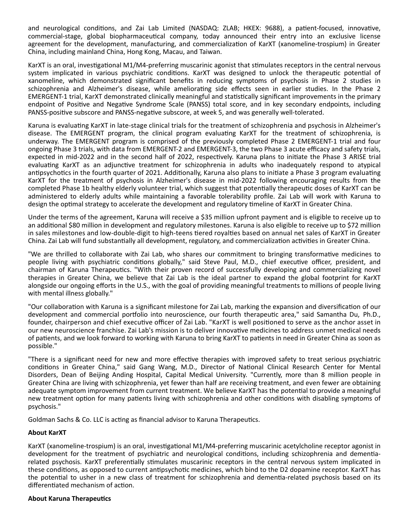and neurological conditions, and Zai Lab Limited (NASDAQ: ZLAB; HKEX: 9688), a patient-focused, innovative, commercial-stage, global biopharmaceutical company, today announced their entry into an exclusive license agreement for the development, manufacturing, and commercialization of KarXT (xanomeline-trospium) in Greater China, including mainland China, Hong Kong, Macau, and Taiwan.

KarXT is an oral, investigational M1/M4-preferring muscarinic agonist that stimulates receptors in the central nervous system implicated in various psychiatric conditions. KarXT was designed to unlock the therapeutic potential of xanomeline, which demonstrated significant benefits in reducing symptoms of psychosis in Phase 2 studies in schizophrenia and Alzheimer's disease, while ameliorating side effects seen in earlier studies. In the Phase 2 EMERGENT-1 trial, KarXT demonstrated clinically meaningful and statistically significant improvements in the primary endpoint of Positive and Negative Syndrome Scale (PANSS) total score, and in key secondary endpoints, including PANSS-positive subscore and PANSS-negative subscore, at week 5, and was generally well-tolerated.

Karuna is evaluating KarXT in late-stage clinical trials for the treatment of schizophrenia and psychosis in Alzheimer's disease. The EMERGENT program, the clinical program evaluating KarXT for the treatment of schizophrenia, is underway. The EMERGENT program is comprised of the previously completed Phase 2 EMERGENT-1 trial and four ongoing Phase 3 trials, with data from EMERGENT-2 and EMERGENT-3, the two Phase 3 acute efficacy and safety trials, expected in mid-2022 and in the second half of 2022, respectively. Karuna plans to initiate the Phase 3 ARISE trial evaluating KarXT as an adjunctive treatment for schizophrenia in adults who inadequately respond to atypical antipsychotics in the fourth quarter of 2021. Additionally, Karuna also plans to initiate a Phase 3 program evaluating KarXT for the treatment of psychosis in Alzheimer's disease in mid-2022 following encouraging results from the completed Phase 1b healthy elderly volunteer trial, which suggest that potentially therapeutic doses of KarXT can be administered to elderly adults while maintaining a favorable tolerability profile. Zai Lab will work with Karuna to design the optimal strategy to accelerate the development and regulatory timeline of KarXT in Greater China.

Under the terms of the agreement, Karuna will receive a \$35 million upfront payment and is eligible to receive up to an additional \$80 million in development and regulatory milestones. Karuna is also eligible to receive up to \$72 million in sales milestones and low-double-digit to high-teens tiered royalties based on annual net sales of KarXT in Greater China. Zai Lab will fund substantially all development, regulatory, and commercialization activities in Greater China.

"We are thrilled to collaborate with Zai Lab, who shares our commitment to bringing transformative medicines to people living with psychiatric conditions globally," said Steve Paul, M.D., chief executive officer, president, and chairman of Karuna Therapeutics. "With their proven record of successfully developing and commercializing novel therapies in Greater China, we believe that Zai Lab is the ideal partner to expand the global footprint for KarXT alongside our ongoing efforts in the U.S., with the goal of providing meaningful treatments to millions of people living with mental illness globally."

"Our collaboration with Karuna is a significant milestone for Zai Lab, marking the expansion and diversification of our development and commercial portfolio into neuroscience, our fourth therapeutic area," said Samantha Du, Ph.D., founder, chairperson and chief executive officer of Zai Lab. "KarXT is well positioned to serve as the anchor asset in our new neuroscience franchise. Zai Lab's mission is to deliver innovative medicines to address unmet medical needs of patients, and we look forward to working with Karuna to bring KarXT to patients in need in Greater China as soon as possible."

"There is a significant need for new and more effective therapies with improved safety to treat serious psychiatric conditions in Greater China," said Gang Wang, M.D., Director of National Clinical Research Center for Mental Disorders, Dean of Beijing Anding Hospital, Capital Medical University. "Currently, more than 8 million people in Greater China are living with schizophrenia, yet fewer than half are receiving treatment, and even fewer are obtaining adequate symptom improvement from current treatment. We believe KarXT has the potential to provide a meaningful new treatment option for many patients living with schizophrenia and other conditions with disabling symptoms of psychosis."

Goldman Sachs & Co. LLC is acting as financial advisor to Karuna Therapeutics.

### **About KarXT**

KarXT (xanomeline-trospium) is an oral, investigational M1/M4-preferring muscarinic acetylcholine receptor agonist in development for the treatment of psychiatric and neurological conditions, including schizophrenia and dementiarelated psychosis. KarXT preferentially stimulates muscarinic receptors in the central nervous system implicated in these conditions, as opposed to current antipsychotic medicines, which bind to the D2 dopamine receptor. KarXT has the potential to usher in a new class of treatment for schizophrenia and dementia-related psychosis based on its differentiated mechanism of action.

#### **About Karuna Therapeutics**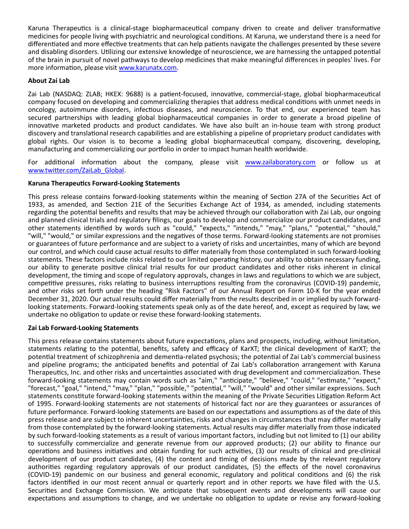Karuna Therapeutics is a clinical-stage biopharmaceutical company driven to create and deliver transformative medicines for people living with psychiatric and neurological conditions. At Karuna, we understand there is a need for differentiated and more effective treatments that can help patients navigate the challenges presented by these severe and disabling disorders. Utilizing our extensive knowledge of neuroscience, we are harnessing the untapped potential of the brain in pursuit of novel pathways to develop medicines that make meaningful differences in peoples' lives. For more information, please visit [www.karunatx.com.](http://www.karunatx.com/)

## **About Zai Lab**

Zai Lab (NASDAQ: ZLAB; HKEX: 9688) is a patient-focused, innovative, commercial-stage, global biopharmaceutical company focused on developing and commercializing therapies that address medical conditions with unmet needs in oncology, autoimmune disorders, infectious diseases, and neuroscience. To that end, our experienced team has secured partnerships with leading global biopharmaceutical companies in order to generate a broad pipeline of innovative marketed products and product candidates. We have also built an in-house team with strong product discovery and translational research capabilities and are establishing a pipeline of proprietary product candidates with global rights. Our vision is to become a leading global biopharmaceutical company, discovering, developing, manufacturing and commercializing our portfolio in order to impact human health worldwide.

For additional information about the company, please visit [www.zailaboratory.com](http://www.zailaboratory.com/) or follow us at www.twitter.com/ZaiLab\_Global.

### **Karuna TherapeuƟcs Forward-Looking Statements**

This press release contains forward-looking statements within the meaning of Section 27A of the Securities Act of 1933, as amended, and Section 21E of the Securities Exchange Act of 1934, as amended, including statements regarding the potential benefits and results that may be achieved through our collaboration with Zai Lab, our ongoing and planned clinical trials and regulatory filings, our goals to develop and commercialize our product candidates, and other statements identified by words such as "could," "expects," "intends," "may," "plans," "potential," "should," "will," "would," or similar expressions and the negatives of those terms. Forward-looking statements are not promises or guarantees of future performance and are subject to a variety of risks and uncertainties, many of which are beyond our control, and which could cause actual results to differ materially from those contemplated in such forward-looking statements. These factors include risks related to our limited operating history, our ability to obtain necessary funding, our ability to generate positive clinical trial results for our product candidates and other risks inherent in clinical development, the timing and scope of regulatory approvals, changes in laws and regulations to which we are subject, competitive pressures, risks relating to business interruptions resulting from the coronavirus (COVID-19) pandemic, and other risks set forth under the heading "Risk Factors" of our Annual Report on Form 10-K for the year ended December 31, 2020. Our actual results could differ materially from the results described in or implied by such forwardlooking statements. Forward-looking statements speak only as of the date hereof, and, except as required by law, we undertake no obligation to update or revise these forward-looking statements.

### **Zai Lab Forward-Looking Statements**

This press release contains statements about future expectations, plans and prospects, including, without limitation, statements relating to the potential, benefits, safety and efficacy of KarXT; the clinical development of KarXT; the potential treatment of schizophrenia and dementia-related psychosis; the potential of Zai Lab's commercial business and pipeline programs; the anticipated benefits and potential of Zai Lab's collaboration arrangement with Karuna Therapeutics, Inc. and other risks and uncertainties associated with drug development and commercialization. These forward-looking statements may contain words such as "aim," "anticipate," "believe," "could," "estimate," "expect," "forecast," "goal," "intend," "may," "plan," "possible," "potential," "will," "would" and other similar expressions. Such statements constitute forward-looking statements within the meaning of the Private Securities Litigation Reform Act of 1995. Forward-looking statements are not statements of historical fact nor are they guarantees or assurances of future performance. Forward-looking statements are based on our expectations and assumptions as of the date of this press release and are subject to inherent uncertainties, risks and changes in circumstances that may differ materially from those contemplated by the forward-looking statements. Actual results may differ materially from those indicated by such forward-looking statements as a result of various important factors, including but not limited to (1) our ability to successfully commercialize and generate revenue from our approved products; (2) our ability to finance our operations and business initiatives and obtain funding for such activities, (3) our results of clinical and pre-clinical development of our product candidates, (4) the content and timing of decisions made by the relevant regulatory authorities regarding regulatory approvals of our product candidates, (5) the effects of the novel coronavirus (COVID-19) pandemic on our business and general economic, regulatory and political conditions and (6) the risk factors identified in our most recent annual or quarterly report and in other reports we have filed with the U.S. Securities and Exchange Commission. We anticipate that subsequent events and developments will cause our expectations and assumptions to change, and we undertake no obligation to update or revise any forward-looking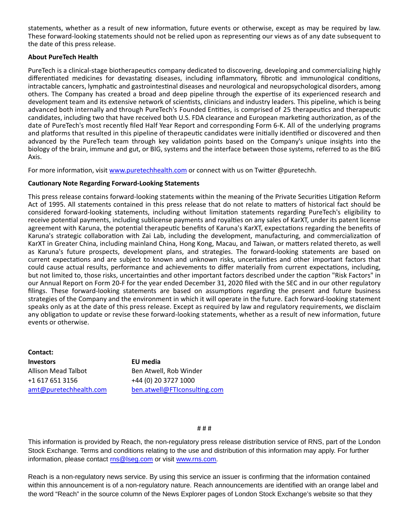statements, whether as a result of new information, future events or otherwise, except as may be required by law. These forward-looking statements should not be relied upon as representing our views as of any date subsequent to the date of this press release.

#### **About PureTech Health**

PureTech is a clinical-stage biotherapeutics company dedicated to discovering, developing and commercializing highly differentiated medicines for devastating diseases, including inflammatory, fibrotic and immunological conditions, intractable cancers, lymphatic and gastrointestinal diseases and neurological and neuropsychological disorders, among others. The Company has created a broad and deep pipeline through the expertise of its experienced research and development team and its extensive network of scientists, clinicians and industry leaders. This pipeline, which is being advanced both internally and through PureTech's Founded Entities, is comprised of 25 therapeutics and therapeutic candidates, including two that have received both U.S. FDA clearance and European marketing authorization, as of the date of PureTech's most recently filed Half Year Report and corresponding Form 6-K. All of the underlying programs and platforms that resulted in this pipeline of therapeutic candidates were initially identified or discovered and then advanced by the PureTech team through key validation points based on the Company's unique insights into the biology of the brain, immune and gut, or BIG, systems and the interface between those systems, referred to as the BIG Axis.

For more information, visit [www.puretechhealth.com o](http://www.puretechhealth.com/)r connect with us on Twitter @puretechh.

#### **CauƟonary Note Regarding Forward-Looking Statements**

This press release contains forward-looking statements within the meaning of the Private Securities Litigation Reform Act of 1995. All statements contained in this press release that do not relate to matters of historical fact should be considered forward-looking statements, including without limitation statements regarding PureTech's eligibility to receive potential payments, including sublicense payments and royalties on any sales of KarXT, under its patent license agreement with Karuna, the potential therapeutic benefits of Karuna's KarXT, expectations regarding the benefits of Karuna's strategic collaboration with Zai Lab, including the development, manufacturing, and commercialization of KarXT in Greater China, including mainland China, Hong Kong, Macau, and Taiwan, or matters related thereto, as well as Karuna's future prospects, development plans, and strategies. The forward-looking statements are based on current expectations and are subject to known and unknown risks, uncertainties and other important factors that could cause actual results, performance and achievements to differ materially from current expectations, including, but not limited to, those risks, uncertainties and other important factors described under the caption "Risk Factors" in our Annual Report on Form 20-F for the year ended December 31, 2020 filed with the SEC and in our other regulatory filings. These forward-looking statements are based on assumptions regarding the present and future business strategies of the Company and the environment in which it will operate in the future. Each forward-looking statement speaks only as at the date of this press release. Except as required by law and regulatory requirements, we disclaim any obligation to update or revise these forward-looking statements, whether as a result of new information, future events or otherwise.

**Contact: Investors EU media** Allison Mead Talbot +1 617 651 3156 [amt@puretechhealth.com](mailto:amt@puretechhealth.com)

Ben Atwell, Rob Winder +44 (0) 20 3727 1000 ben.atwell@FTIconsulting.com

#### # # #

This information is provided by Reach, the non-regulatory press release distribution service of RNS, part of the London Stock Exchange. Terms and conditions relating to the use and distribution of this information may apply. For further information, please contact [rns@lseg.com o](mailto:rns@lseg.com)r visit [www.rns.com.](http://www.rns.com/)

Reach is a non-regulatory news service. By using this service an issuer is confirming that the information contained within this announcement is of a non-regulatory nature. Reach announcements are identified with an orange label and the word "Reach" in the source column of the News Explorer pages of London Stock Exchange's website so that they